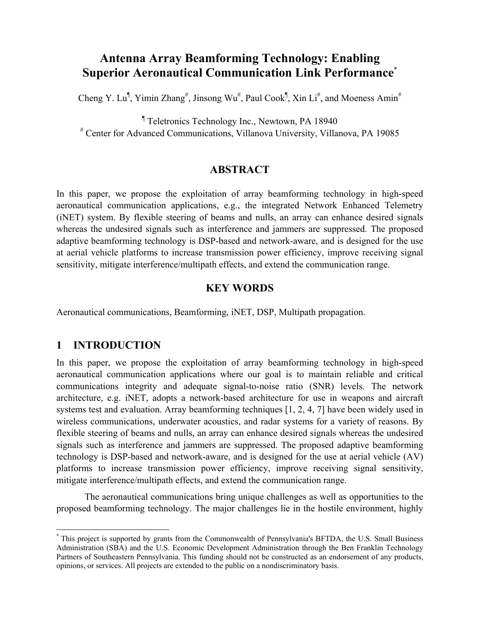# **Antenna Array Beamforming Technology: Enabling Superior Aeronautical Communication Link Performance**\*

Cheng Y. Lu<sup>¶</sup>, Yimin Zhang<sup>#</sup>, Jinsong Wu<sup>#</sup>, Paul Cook<sup>¶</sup>, Xin Li<sup>#</sup>, and Moeness Amin<sup>#</sup>

¶ Teletronics Technology Inc., Newtown, PA 18940 # Center for Advanced Communications, Villanova University, Villanova, PA 19085

### **ABSTRACT**

In this paper, we propose the exploitation of array beamforming technology in high-speed aeronautical communication applications, e.g., the integrated Network Enhanced Telemetry (iNET) system. By flexible steering of beams and nulls, an array can enhance desired signals whereas the undesired signals such as interference and jammers are suppressed. The proposed adaptive beamforming technology is DSP-based and network-aware, and is designed for the use at aerial vehicle platforms to increase transmission power efficiency, improve receiving signal sensitivity, mitigate interference/multipath effects, and extend the communication range.

# **KEY WORDS**

Aeronautical communications, Beamforming, iNET, DSP, Multipath propagation.

# **1 INTRODUCTION**

1

In this paper, we propose the exploitation of array beamforming technology in high-speed aeronautical communication applications where our goal is to maintain reliable and critical communications integrity and adequate signal-to-noise ratio (SNR) levels. The network architecture, e.g. iNET, adopts a network-based architecture for use in weapons and aircraft systems test and evaluation. Array beamforming techniques [1, 2, 4, 7] have been widely used in wireless communications, underwater acoustics, and radar systems for a variety of reasons. By flexible steering of beams and nulls, an array can enhance desired signals whereas the undesired signals such as interference and jammers are suppressed. The proposed adaptive beamforming technology is DSP-based and network-aware, and is designed for the use at aerial vehicle (AV) platforms to increase transmission power efficiency, improve receiving signal sensitivity, mitigate interference/multipath effects, and extend the communication range.

The aeronautical communications bring unique challenges as well as opportunities to the proposed beamforming technology. The major challenges lie in the hostile environment, highly

<sup>\*</sup> This project is supported by grants from the Commonwealth of Pennsylvania's BFTDA, the U.S. Small Business Administration (SBA) and the U.S. Economic Development Administration through the Ben Franklin Technology Partners of Southeastern Pennsylvania. This funding should not be constructed as an endorsement of any products, opinions, or services. All projects are extended to the public on a nondiscriminatory basis.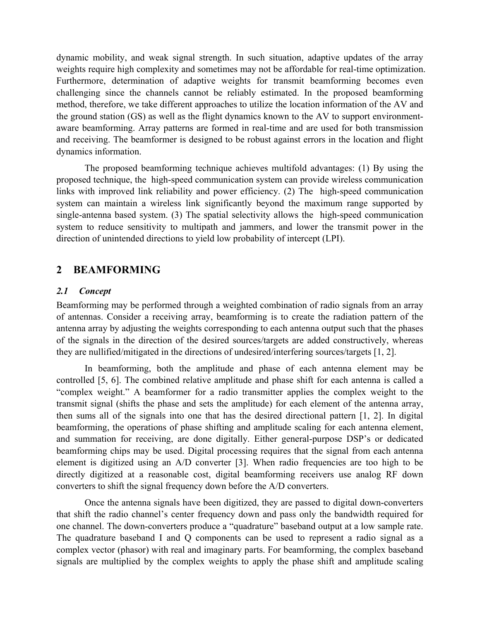dynamic mobility, and weak signal strength. In such situation, adaptive updates of the array weights require high complexity and sometimes may not be affordable for real-time optimization. Furthermore, determination of adaptive weights for transmit beamforming becomes even challenging since the channels cannot be reliably estimated. In the proposed beamforming method, therefore, we take different approaches to utilize the location information of the AV and the ground station (GS) as well as the flight dynamics known to the AV to support environmentaware beamforming. Array patterns are formed in real-time and are used for both transmission and receiving. The beamformer is designed to be robust against errors in the location and flight dynamics information.

The proposed beamforming technique achieves multifold advantages: (1) By using the proposed technique, the high-speed communication system can provide wireless communication links with improved link reliability and power efficiency. (2) The high-speed communication system can maintain a wireless link significantly beyond the maximum range supported by single-antenna based system. (3) The spatial selectivity allows the high-speed communication system to reduce sensitivity to multipath and jammers, and lower the transmit power in the direction of unintended directions to yield low probability of intercept (LPI).

### **2 BEAMFORMING**

### *2.1 Concept*

Beamforming may be performed through a weighted combination of radio signals from an array of antennas. Consider a receiving array, beamforming is to create the radiation pattern of the antenna array by adjusting the weights corresponding to each antenna output such that the phases of the signals in the direction of the desired sources/targets are added constructively, whereas they are nullified/mitigated in the directions of undesired/interfering sources/targets [1, 2].

In beamforming, both the amplitude and phase of each antenna element may be controlled [5, 6]. The combined relative amplitude and phase shift for each antenna is called a "complex weight." A beamformer for a radio transmitter applies the complex weight to the transmit signal (shifts the phase and sets the amplitude) for each element of the antenna array, then sums all of the signals into one that has the desired directional pattern [1, 2]. In digital beamforming, the operations of phase shifting and amplitude scaling for each antenna element, and summation for receiving, are done digitally. Either general-purpose DSP's or dedicated beamforming chips may be used. Digital processing requires that the signal from each antenna element is digitized using an A/D converter [3]. When radio frequencies are too high to be directly digitized at a reasonable cost, digital beamforming receivers use analog RF down converters to shift the signal frequency down before the A/D converters.

Once the antenna signals have been digitized, they are passed to digital down-converters that shift the radio channel's center frequency down and pass only the bandwidth required for one channel. The down-converters produce a "quadrature" baseband output at a low sample rate. The quadrature baseband I and Q components can be used to represent a radio signal as a complex vector (phasor) with real and imaginary parts. For beamforming, the complex baseband signals are multiplied by the complex weights to apply the phase shift and amplitude scaling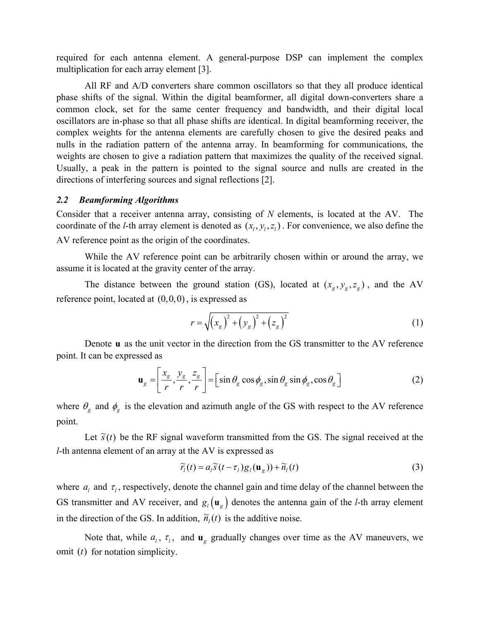required for each antenna element. A general-purpose DSP can implement the complex multiplication for each array element [3].

All RF and A/D converters share common oscillators so that they all produce identical phase shifts of the signal. Within the digital beamformer, all digital down-converters share a common clock, set for the same center frequency and bandwidth, and their digital local oscillators are in-phase so that all phase shifts are identical. In digital beamforming receiver, the complex weights for the antenna elements are carefully chosen to give the desired peaks and nulls in the radiation pattern of the antenna array. In beamforming for communications, the weights are chosen to give a radiation pattern that maximizes the quality of the received signal. Usually, a peak in the pattern is pointed to the signal source and nulls are created in the directions of interfering sources and signal reflections [2].

#### *2.2 Beamforming Algorithms*

Consider that a receiver antenna array, consisting of *N* elements, is located at the AV. The coordinate of the *l*-th array element is denoted as  $(x_i, y_i, z_i)$ . For convenience, we also define the AV reference point as the origin of the coordinates.

While the AV reference point can be arbitrarily chosen within or around the array, we assume it is located at the gravity center of the array.

The distance between the ground station (GS), located at  $(x_g, y_g, z_g)$ , and the AV reference point, located at  $(0,0,0)$ , is expressed as

$$
r = \sqrt{(x_g)^2 + (y_g)^2 + (z_g)^2}
$$
 (1)

Denote **u** as the unit vector in the direction from the GS transmitter to the AV reference point. It can be expressed as

$$
\mathbf{u}_g = \left[\frac{x_g}{r}, \frac{y_g}{r}, \frac{z_g}{r}\right] = \left[\sin\theta_g \cos\phi_g, \sin\theta_g \sin\phi_g, \cos\theta_g\right]
$$
 (2)

where  $\theta_g$  and  $\phi_g$  is the elevation and azimuth angle of the GS with respect to the AV reference point.

Let  $\tilde{s}(t)$  be the RF signal waveform transmitted from the GS. The signal received at the *l*-th antenna element of an array at the AV is expressed as

$$
\widetilde{r}_l(t) = a_l \widetilde{s}(t - \tau_l) g_l(\mathbf{u}_g)) + \widetilde{n}_l(t)
$$
\n(3)

where  $a_l$  and  $\tau_l$ , respectively, denote the channel gain and time delay of the channel between the GS transmitter and AV receiver, and  $g_l(\mathbf{u}_g)$  denotes the antenna gain of the *l*-th array element in the direction of the GS. In addition,  $\tilde{n}_i(t)$  is the additive noise.

Note that, while  $a_l$ ,  $\tau_l$ , and  $\mathbf{u}_g$  gradually changes over time as the AV maneuvers, we omit (*t*) for notation simplicity.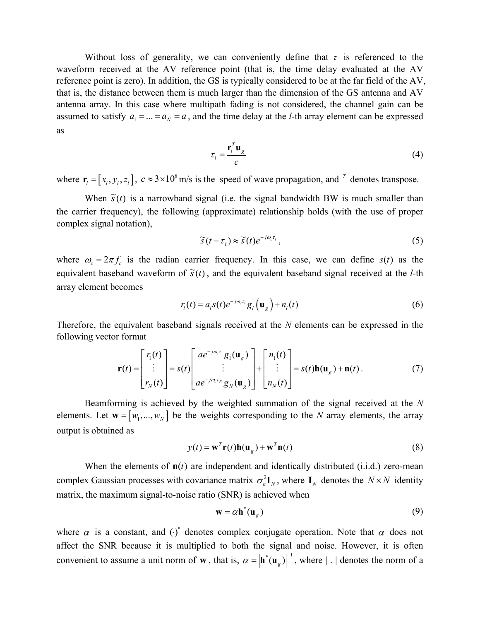Without loss of generality, we can conveniently define that  $\tau$  is referenced to the waveform received at the AV reference point (that is, the time delay evaluated at the AV reference point is zero). In addition, the GS is typically considered to be at the far field of the AV, that is, the distance between them is much larger than the dimension of the GS antenna and AV antenna array. In this case where multipath fading is not considered, the channel gain can be assumed to satisfy  $a_1 = ... = a_N = a$ , and the time delay at the *l*-th array element can be expressed as

$$
\tau_l = \frac{\mathbf{r}_l^T \mathbf{u}_g}{c} \tag{4}
$$

where  $\mathbf{r}_i = [x_i, y_i, z_i]$ ,  $c \approx 3 \times 10^8$  m/s is the speed of wave propagation, and  $\tau$  denotes transpose.

When  $\tilde{s}(t)$  is a narrowband signal (i.e. the signal bandwidth BW is much smaller than the carrier frequency), the following (approximate) relationship holds (with the use of proper complex signal notation),

$$
\widetilde{s}(t-\tau_1) \approx \widetilde{s}(t)e^{-j\omega_c\tau_1},\tag{5}
$$

where  $\omega_c = 2\pi f_c$  is the radian carrier frequency. In this case, we can define  $s(t)$  as the equivalent baseband waveform of  $\tilde{s}(t)$ , and the equivalent baseband signal received at the *l*-th array element becomes

$$
r_i(t) = a_i s(t) e^{-j\omega_c \tau_i} g_i\left(\mathbf{u}_g\right) + n_i(t)
$$
\n<sup>(6)</sup>

Therefore, the equivalent baseband signals received at the *N* elements can be expressed in the following vector format

$$
\mathbf{r}(t) = \begin{bmatrix} r_1(t) \\ \vdots \\ r_N(t) \end{bmatrix} = s(t) \begin{bmatrix} a e^{-j\omega_c \tau_1} g_1(\mathbf{u}_g) \\ \vdots \\ a e^{-j\omega_c \tau_N} g_N(\mathbf{u}_g) \end{bmatrix} + \begin{bmatrix} n_1(t) \\ \vdots \\ n_N(t) \end{bmatrix} = s(t) \mathbf{h}(\mathbf{u}_g) + \mathbf{n}(t).
$$
 (7)

Beamforming is achieved by the weighted summation of the signal received at the *N* elements. Let  $\mathbf{w} = [w_1, ..., w_N]$  be the weights corresponding to the *N* array elements, the array output is obtained as

$$
y(t) = \mathbf{w}^T \mathbf{r}(t) \mathbf{h}(\mathbf{u}_g) + \mathbf{w}^T \mathbf{n}(t)
$$
\n(8)

When the elements of  $\mathbf{n}(t)$  are independent and identically distributed (i.i.d.) zero-mean complex Gaussian processes with covariance matrix  $\sigma_n^2 \mathbf{I}_N$ , where  $\mathbf{I}_N$  denotes the  $N \times N$  identity matrix, the maximum signal-to-noise ratio (SNR) is achieved when

$$
\mathbf{w} = \alpha \mathbf{h}^*(\mathbf{u}_g) \tag{9}
$$

where  $\alpha$  is a constant, and  $(\cdot)^*$  denotes complex conjugate operation. Note that  $\alpha$  does not affect the SNR because it is multiplied to both the signal and noise. However, it is often convenient to assume a unit norm of **w**, that is,  $\alpha = |\mathbf{h}^*(\mathbf{u}_g)|^{-1}$ , where | . | denotes the norm of a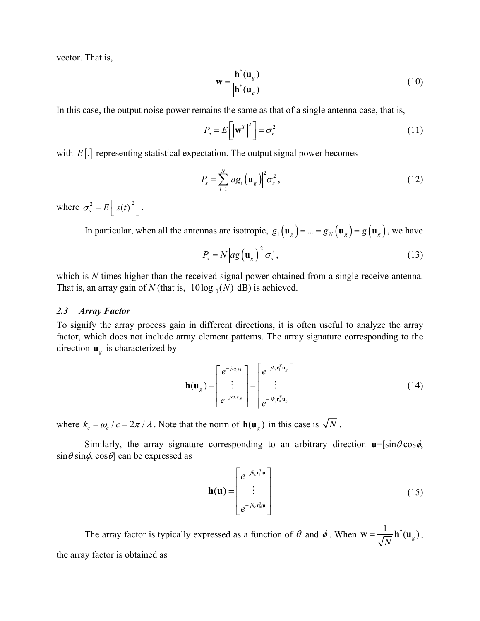vector. That is,

$$
\mathbf{w} = \frac{\mathbf{h}^*(\mathbf{u}_g)}{|\mathbf{h}^*(\mathbf{u}_g)|}.
$$
 (10)

In this case, the output noise power remains the same as that of a single antenna case, that is,

$$
P_n = E\left[\left|\mathbf{w}^T\right|^2\right] = \sigma_n^2 \tag{11}
$$

with *E*[.] representing statistical expectation. The output signal power becomes

$$
P_s = \sum_{l=1}^{N} \left| a g_l \left( \mathbf{u}_g \right) \right|^2 \sigma_s^2, \qquad (12)
$$

where  $\sigma_s^2 = E \left[ \left| s(t) \right|^2 \right]$ .

In particular, when all the antennas are isotropic,  $g_1(\mathbf{u}_g) = ... = g_N(\mathbf{u}_g) = g(\mathbf{u}_g)$ , we have

$$
P_s = N \left| a g\left(\mathbf{u}_s\right) \right|^2 \sigma_s^2, \tag{13}
$$

which is *N* times higher than the received signal power obtained from a single receive antenna. That is, an array gain of *N* (that is,  $10 \log_{10}(N)$  dB) is achieved.

#### *2.3 Array Factor*

To signify the array process gain in different directions, it is often useful to analyze the array factor, which does not include array element patterns. The array signature corresponding to the direction  $\mathbf{u}_g$  is characterized by

$$
\mathbf{h}(\mathbf{u}_g) = \begin{bmatrix} e^{-j\omega_c \tau_1} \\ \vdots \\ e^{-j\omega_c \tau_N} \end{bmatrix} = \begin{bmatrix} e^{-jk_c \mathbf{r}_1^T \mathbf{u}_g} \\ \vdots \\ e^{-jk_c \mathbf{r}_N^T \mathbf{u}_g} \end{bmatrix}
$$
(14)

where  $k_c = \omega_c / c = 2\pi / \lambda$ . Note that the norm of  $h(u_g)$  in this case is  $\sqrt{N}$ .

Similarly, the array signature corresponding to an arbitrary direction  $\mathbf{u} = [\sin\theta \cos\phi,$  $\sin\theta \sin\phi$ ,  $\cos\theta$  can be expressed as

$$
\mathbf{h}(\mathbf{u}) = \begin{bmatrix} e^{-jk_c \mathbf{r}_1^T \mathbf{u}} \\ \vdots \\ e^{-jk_c \mathbf{r}_N^T \mathbf{u}} \end{bmatrix}
$$
 (15)

The array factor is typically expressed as a function of  $\theta$  and  $\phi$ . When  $\mathbf{w} = \frac{1}{\sqrt{N}} \mathbf{h}^*(\mathbf{u}_g)$ *N*  $\mathbf{w} = \frac{1}{\sqrt{m}} \mathbf{h}^*(\mathbf{u}_\alpha),$ the array factor is obtained as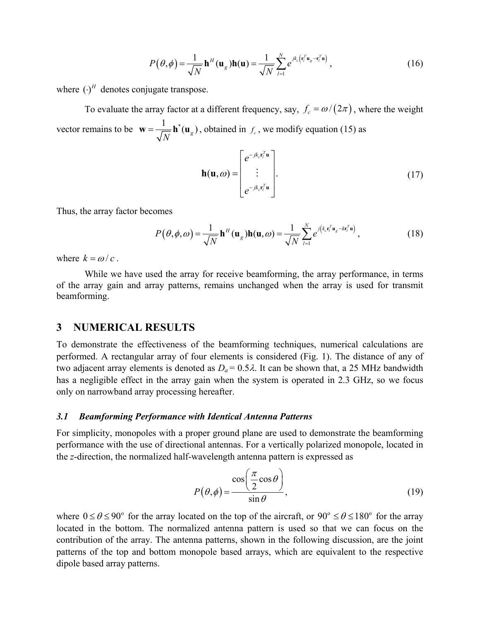$$
P(\theta,\phi) = \frac{1}{\sqrt{N}} \mathbf{h}^H(\mathbf{u}_g)\mathbf{h}(\mathbf{u}) = \frac{1}{\sqrt{N}} \sum_{l=1}^N e^{jk_c \left(\mathbf{r}_l^T \mathbf{u}_g - \mathbf{r}_l^T \mathbf{u}\right)},
$$
(16)

where  $(\cdot)^H$  denotes conjugate transpose.

To evaluate the array factor at a different frequency, say,  $f_c = \omega/(2\pi)$ , where the weight vector remains to be  $\mathbf{w} = \frac{1}{\sqrt{N}} \mathbf{h}^*(\mathbf{u}_g)$ *N*  $\mathbf{w} = \frac{1}{\sqrt{M}} \mathbf{h}^*(\mathbf{u}_g)$ , obtained in  $f_c$ , we modify equation (15) as

$$
\mathbf{h}(\mathbf{u},\omega) = \begin{bmatrix} e^{-jk_c \mathbf{r}_l^T \mathbf{u}} \\ \vdots \\ e^{-jk_c \mathbf{r}_l^T \mathbf{u}} \end{bmatrix} .
$$
 (17)

Thus, the array factor becomes

$$
P(\theta, \phi, \omega) = \frac{1}{\sqrt{N}} \mathbf{h}^H(\mathbf{u}_g) \mathbf{h}(\mathbf{u}, \omega) = \frac{1}{\sqrt{N}} \sum_{l=1}^N e^{j(k_c \mathbf{r}_l^T \mathbf{u}_g - k \mathbf{r}_l^T \mathbf{u})},
$$
(18)

where  $k = \omega/c$ .

While we have used the array for receive beamforming, the array performance, in terms of the array gain and array patterns, remains unchanged when the array is used for transmit beamforming.

### **3 NUMERICAL RESULTS**

To demonstrate the effectiveness of the beamforming techniques, numerical calculations are performed. A rectangular array of four elements is considered (Fig. 1). The distance of any of two adjacent array elements is denoted as  $D_a = 0.5\lambda$ . It can be shown that, a 25 MHz bandwidth has a negligible effect in the array gain when the system is operated in 2.3 GHz, so we focus only on narrowband array processing hereafter.

#### *3.1 Beamforming Performance with Identical Antenna Patterns*

For simplicity, monopoles with a proper ground plane are used to demonstrate the beamforming performance with the use of directional antennas. For a vertically polarized monopole, located in the *z*-direction, the normalized half-wavelength antenna pattern is expressed as

$$
P(\theta,\phi) = \frac{\cos\left(\frac{\pi}{2}\cos\theta\right)}{\sin\theta},\tag{19}
$$

where  $0 \le \theta \le 90^{\circ}$  for the array located on the top of the aircraft, or  $90^{\circ} \le \theta \le 180^{\circ}$  for the array located in the bottom. The normalized antenna pattern is used so that we can focus on the contribution of the array. The antenna patterns, shown in the following discussion, are the joint patterns of the top and bottom monopole based arrays, which are equivalent to the respective dipole based array patterns.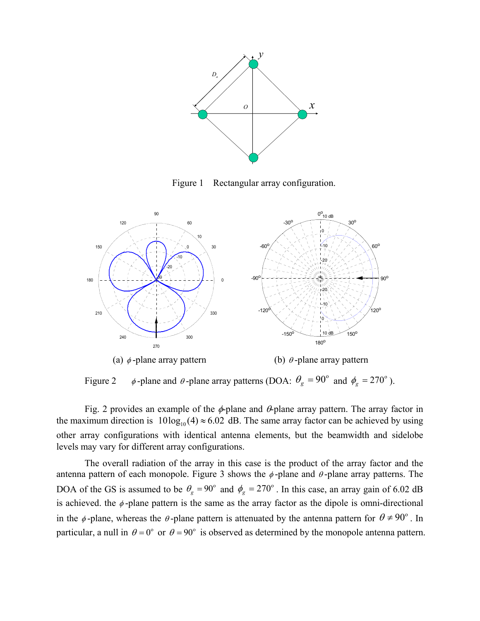

Figure 1 Rectangular array configuration.



Figure 2  $\phi$ -plane and  $\theta$ -plane array patterns (DOA:  $\theta_g = 90^\circ$  and  $\phi_g = 270^\circ$ ).

Fig. 2 provides an example of the  $\phi$ -plane and  $\theta$ -plane array pattern. The array factor in the maximum direction is  $10 \log_{10}(4) \approx 6.02$  dB. The same array factor can be achieved by using other array configurations with identical antenna elements, but the beamwidth and sidelobe levels may vary for different array configurations.

The overall radiation of the array in this case is the product of the array factor and the antenna pattern of each monopole. Figure 3 shows the  $\phi$ -plane and  $\theta$ -plane array patterns. The DOA of the GS is assumed to be  $\theta_g = 90^\circ$  and  $\phi_g = 270^\circ$ . In this case, an array gain of 6.02 dB is achieved, the  $\phi$ -plane pattern is the same as the array factor as the dipole is omni-directional in the  $\phi$ -plane, whereas the  $\theta$ -plane pattern is attenuated by the antenna pattern for  $\theta \neq 90^{\circ}$ . In particular, a null in  $\theta = 0^{\circ}$  or  $\theta = 90^{\circ}$  is observed as determined by the monopole antenna pattern.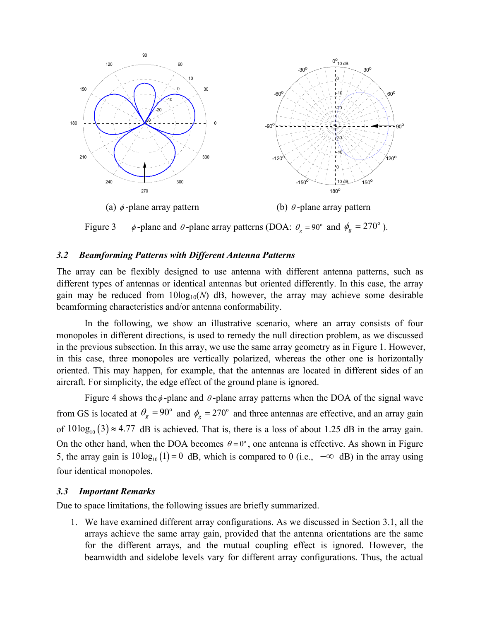

Figure 3  $\phi$ -plane and  $\theta$ -plane array patterns (DOA:  $\theta_g = 90^\circ$  and  $\phi_g = 270^\circ$ ).

### *3.2 Beamforming Patterns with Different Antenna Patterns*

The array can be flexibly designed to use antenna with different antenna patterns, such as different types of antennas or identical antennas but oriented differently. In this case, the array gain may be reduced from  $10\log_{10}(N)$  dB, however, the array may achieve some desirable beamforming characteristics and/or antenna conformability.

In the following, we show an illustrative scenario, where an array consists of four monopoles in different directions, is used to remedy the null direction problem, as we discussed in the previous subsection. In this array, we use the same array geometry as in Figure 1. However, in this case, three monopoles are vertically polarized, whereas the other one is horizontally oriented. This may happen, for example, that the antennas are located in different sides of an aircraft. For simplicity, the edge effect of the ground plane is ignored.

Figure 4 shows the  $\phi$ -plane and  $\theta$ -plane array patterns when the DOA of the signal wave from GS is located at  $\theta_g = 90^\circ$  and  $\phi_g = 270^\circ$  and three antennas are effective, and an array gain of  $10\log_{10}(3) \approx 4.77$  dB is achieved. That is, there is a loss of about 1.25 dB in the array gain. On the other hand, when the DOA becomes  $\theta = 0^\circ$ , one antenna is effective. As shown in Figure 5, the array gain is  $10 \log_{10}(1) = 0$  dB, which is compared to 0 (i.e.,  $-\infty$  dB) in the array using four identical monopoles.

### *3.3 Important Remarks*

Due to space limitations, the following issues are briefly summarized.

1. We have examined different array configurations. As we discussed in Section 3.1, all the arrays achieve the same array gain, provided that the antenna orientations are the same for the different arrays, and the mutual coupling effect is ignored. However, the beamwidth and sidelobe levels vary for different array configurations. Thus, the actual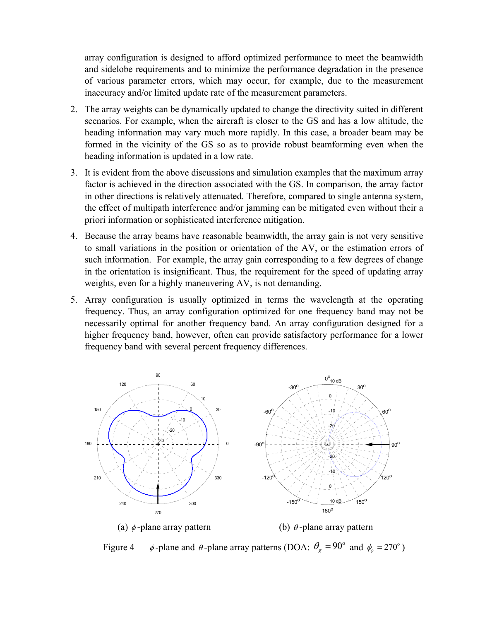array configuration is designed to afford optimized performance to meet the beamwidth and sidelobe requirements and to minimize the performance degradation in the presence of various parameter errors, which may occur, for example, due to the measurement inaccuracy and/or limited update rate of the measurement parameters.

- 2. The array weights can be dynamically updated to change the directivity suited in different scenarios. For example, when the aircraft is closer to the GS and has a low altitude, the heading information may vary much more rapidly. In this case, a broader beam may be formed in the vicinity of the GS so as to provide robust beamforming even when the heading information is updated in a low rate.
- 3. It is evident from the above discussions and simulation examples that the maximum array factor is achieved in the direction associated with the GS. In comparison, the array factor in other directions is relatively attenuated. Therefore, compared to single antenna system, the effect of multipath interference and/or jamming can be mitigated even without their a priori information or sophisticated interference mitigation.
- 4. Because the array beams have reasonable beamwidth, the array gain is not very sensitive to small variations in the position or orientation of the AV, or the estimation errors of such information. For example, the array gain corresponding to a few degrees of change in the orientation is insignificant. Thus, the requirement for the speed of updating array weights, even for a highly maneuvering AV, is not demanding.
- 5. Array configuration is usually optimized in terms the wavelength at the operating frequency. Thus, an array configuration optimized for one frequency band may not be necessarily optimal for another frequency band. An array configuration designed for a higher frequency band, however, often can provide satisfactory performance for a lower frequency band with several percent frequency differences.



Figure 4  $\phi$ -plane and  $\theta$ -plane array patterns (DOA:  $\theta_g = 90^\circ$  and  $\phi_g = 270^\circ$ )